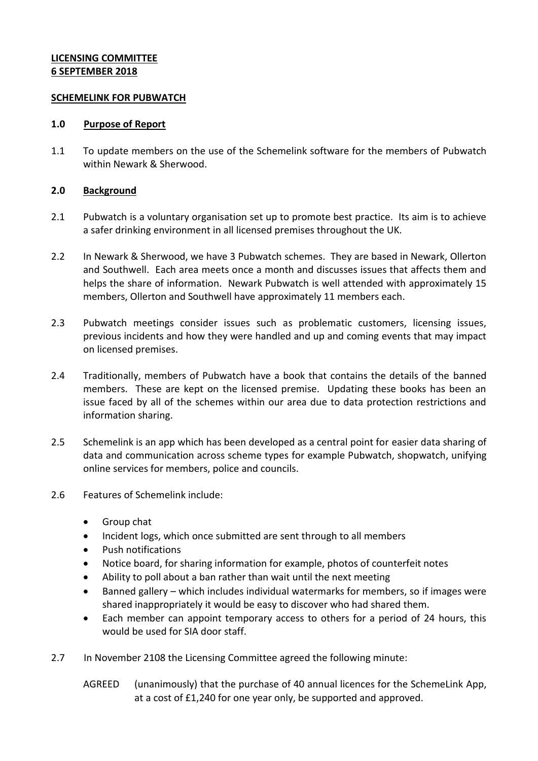# **LICENSING COMMITTEE 6 SEPTEMBER 2018**

### **SCHEMELINK FOR PUBWATCH**

### **1.0 Purpose of Report**

1.1 To update members on the use of the Schemelink software for the members of Pubwatch within Newark & Sherwood.

# **2.0 Background**

- 2.1 Pubwatch is a voluntary organisation set up to promote best practice. Its aim is to achieve a safer drinking environment in all licensed premises throughout the UK.
- 2.2 In Newark & Sherwood, we have 3 Pubwatch schemes. They are based in Newark, Ollerton and Southwell. Each area meets once a month and discusses issues that affects them and helps the share of information. Newark Pubwatch is well attended with approximately 15 members, Ollerton and Southwell have approximately 11 members each.
- 2.3 Pubwatch meetings consider issues such as problematic customers, licensing issues, previous incidents and how they were handled and up and coming events that may impact on licensed premises.
- 2.4 Traditionally, members of Pubwatch have a book that contains the details of the banned members. These are kept on the licensed premise. Updating these books has been an issue faced by all of the schemes within our area due to data protection restrictions and information sharing.
- 2.5 Schemelink is an app which has been developed as a central point for easier data sharing of data and communication across scheme types for example Pubwatch, shopwatch, unifying online services for members, police and councils.
- 2.6 Features of Schemelink include:
	- Group chat
	- Incident logs, which once submitted are sent through to all members
	- Push notifications
	- Notice board, for sharing information for example, photos of counterfeit notes
	- Ability to poll about a ban rather than wait until the next meeting
	- Banned gallery which includes individual watermarks for members, so if images were shared inappropriately it would be easy to discover who had shared them.
	- Each member can appoint temporary access to others for a period of 24 hours, this would be used for SIA door staff.
- 2.7 In November 2108 the Licensing Committee agreed the following minute:
	- AGREED (unanimously) that the purchase of 40 annual licences for the SchemeLink App, at a cost of £1,240 for one year only, be supported and approved.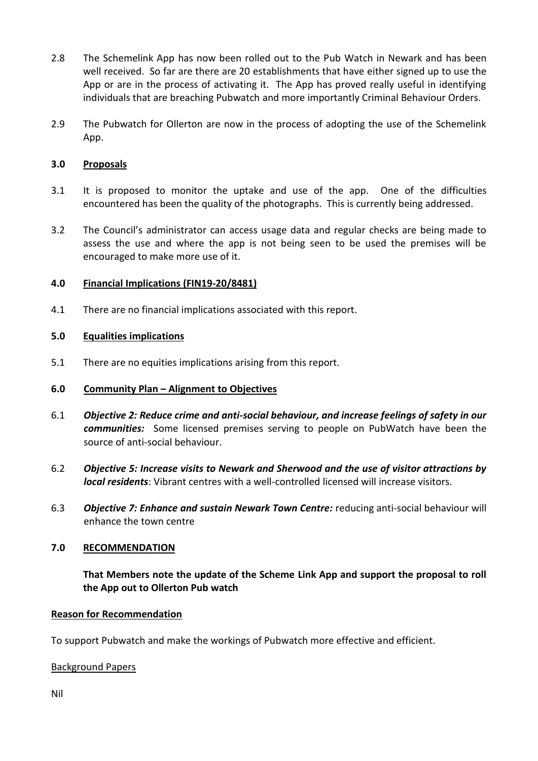- 2.8 The Schemelink App has now been rolled out to the Pub Watch in Newark and has been well received. So far are there are 20 establishments that have either signed up to use the App or are in the process of activating it. The App has proved really useful in identifying individuals that are breaching Pubwatch and more importantly Criminal Behaviour Orders.
- 2.9 The Pubwatch for Ollerton are now in the process of adopting the use of the Schemelink App.

# **3.0 Proposals**

- 3.1 It is proposed to monitor the uptake and use of the app. One of the difficulties encountered has been the quality of the photographs. This is currently being addressed.
- 3.2 The Council's administrator can access usage data and regular checks are being made to assess the use and where the app is not being seen to be used the premises will be encouraged to make more use of it.

### **4.0 Financial Implications (FIN19-20/8481)**

4.1 There are no financial implications associated with this report.

# **5.0 Equalities implications**

5.1 There are no equities implications arising from this report.

### **6.0 Community Plan – Alignment to Objectives**

- 6.1 *Objective 2: Reduce crime and anti-social behaviour, and increase feelings of safety in our communities:* Some licensed premises serving to people on PubWatch have been the source of anti-social behaviour.
- 6.2 *Objective 5: Increase visits to Newark and Sherwood and the use of visitor attractions by local residents*: Vibrant centres with a well-controlled licensed will increase visitors.
- 6.3 *Objective 7: Enhance and sustain Newark Town Centre:* reducing anti-social behaviour will enhance the town centre

### **7.0 RECOMMENDATION**

**That Members note the update of the Scheme Link App and support the proposal to roll the App out to Ollerton Pub watch**

### **Reason for Recommendation**

To support Pubwatch and make the workings of Pubwatch more effective and efficient.

### Background Papers

Nil